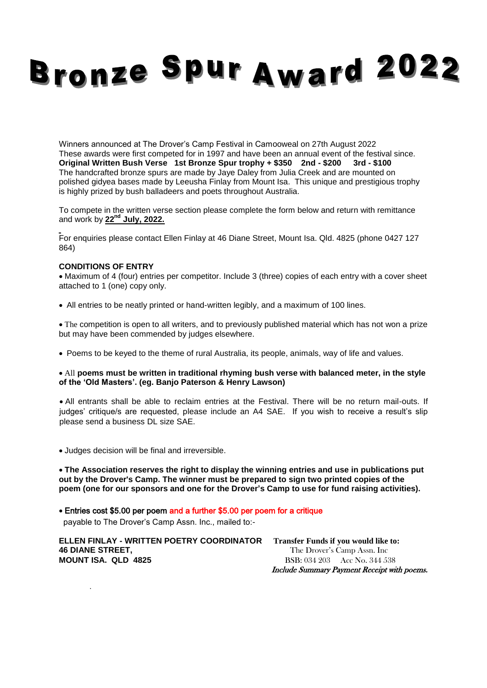## **Bronze Spur Award 2022**

Winners announced at The Drover's Camp Festival in Camooweal on 27th August 2022 These awards were first competed for in 1997 and have been an annual event of the festival since. **Original Written Bush Verse 1st Bronze Spur trophy + \$350 2nd - \$200 3rd - \$100** The handcrafted bronze spurs are made by Jaye Daley from Julia Creek and are mounted on polished gidyea bases made by Leeusha Finlay from Mount Isa. This unique and prestigious trophy is highly prized by bush balladeers and poets throughout Australia.

To compete in the written verse section please complete the form below and return with remittance and work by **22 nd July, 2022.**

For enquiries please contact Ellen Finlay at 46 Diane Street, Mount Isa. Qld. 4825 (phone 0427 127 864)

## **CONDITIONS OF ENTRY**

 Maximum of 4 (four) entries per competitor. Include 3 (three) copies of each entry with a cover sheet attached to 1 (one) copy only.

All entries to be neatly printed or hand-written legibly, and a maximum of 100 lines.

 The competition is open to all writers, and to previously published material which has not won a prize but may have been commended by judges elsewhere.

Poems to be keyed to the theme of rural Australia, its people, animals, way of life and values.

## All **poems must be written in traditional rhyming bush verse with balanced meter, in the style of the 'Old Masters'. (eg. Banjo Paterson & Henry Lawson)**

 All entrants shall be able to reclaim entries at the Festival. There will be no return mail-outs. If judges' critique/s are requested, please include an A4 SAE. If you wish to receive a result's slip please send a business DL size SAE.

Judges decision will be final and irreversible.

 **The Association reserves the right to display the winning entries and use in publications put out by the Drover's Camp. The winner must be prepared to sign two printed copies of the poem (one for our sponsors and one for the Drover's Camp to use for fund raising activities).**

Entries cost \$5.00 per poem and a further \$5.00 per poem for a critique

payable to The Drover's Camp Assn. Inc., mailed to:-

**ELLEN FINLAY - WRITTEN POETRY COORDINATOR Transfer Funds if you would like to: 46 DIANE STREET, The Drover's Camp Assn. Inc MOUNT ISA. QLD 4825 BSB: 034 203** Acc No. 344 538

.

Include Summary Payment Receipt with poems.